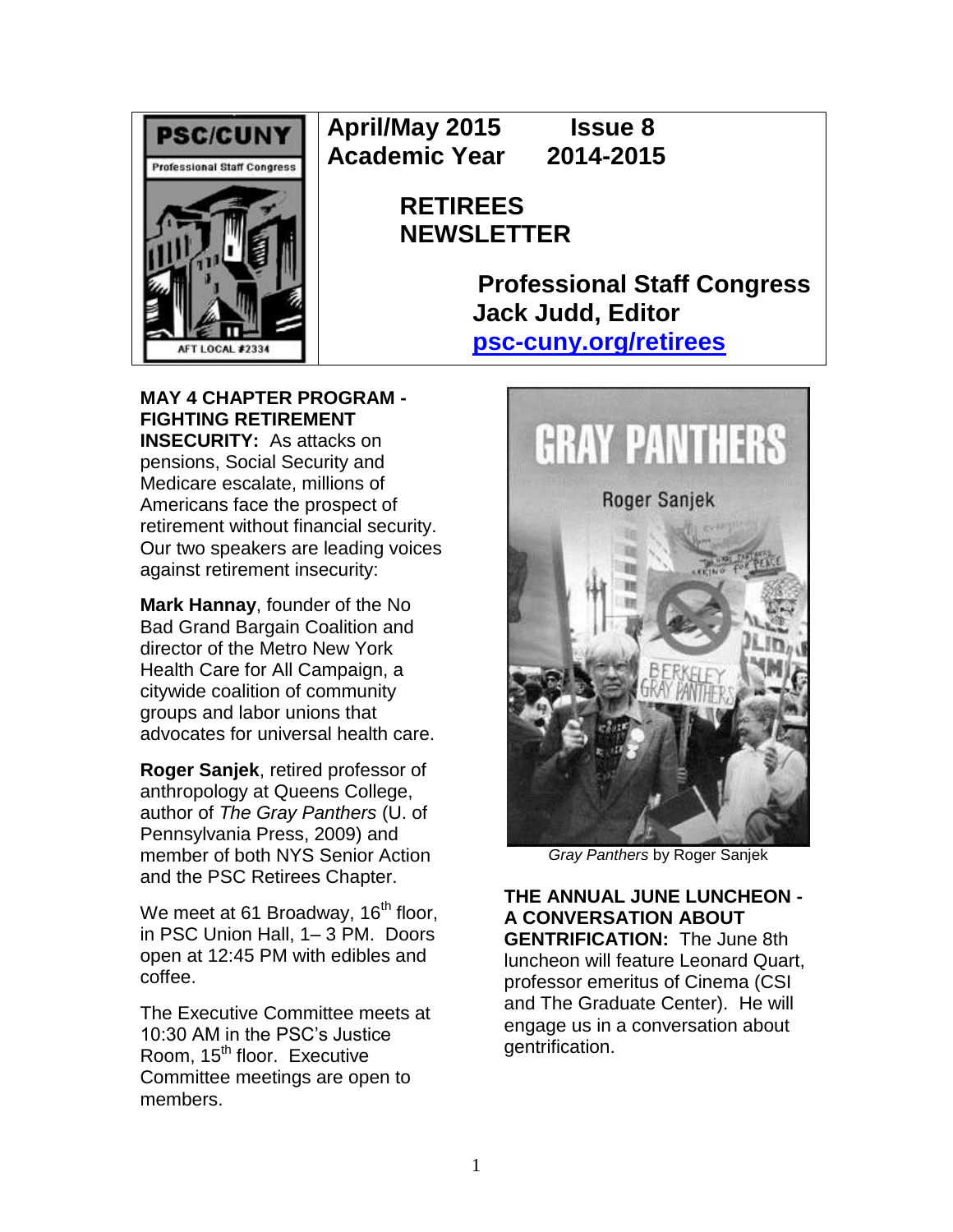

**April/May 2015 Issue 8 Academic Year 2014-2015**

> **RETIREES NEWSLETTER**

> > **Professional Staff Congress Jack Judd, Editor [psc-cuny.org/retirees](http://www.psc-cuny.org/retirees)**

**MAY 4 CHAPTER PROGRAM - FIGHTING RETIREMENT INSECURITY:** As attacks on pensions, Social Security and Medicare escalate, millions of Americans face the prospect of retirement without financial security. Our two speakers are leading voices against retirement insecurity:

**Mark Hannay**, founder of the No Bad Grand Bargain Coalition and director of the Metro New York Health Care for All Campaign, a citywide coalition of community groups and labor unions that advocates for universal health care.

**Roger Sanjek**, retired professor of anthropology at Queens College, author of *The Gray Panthers* (U. of Pennsylvania Press, 2009) and member of both NYS Senior Action and the PSC Retirees Chapter.

We meet at 61 Broadway,  $16<sup>th</sup>$  floor, in PSC Union Hall, 1– 3 PM. Doors open at 12:45 PM with edibles and coffee.

The Executive Committee meets at 10:30 AM in the PSC's Justice Room, 15<sup>th</sup> floor. Executive Committee meetings are open to members.



*Gray Panthers* by Roger Sanjek

**THE ANNUAL JUNE LUNCHEON - A CONVERSATION ABOUT GENTRIFICATION:** The June 8th luncheon will feature Leonard Quart, professor emeritus of Cinema (CSI and The Graduate Center). He will engage us in a conversation about gentrification.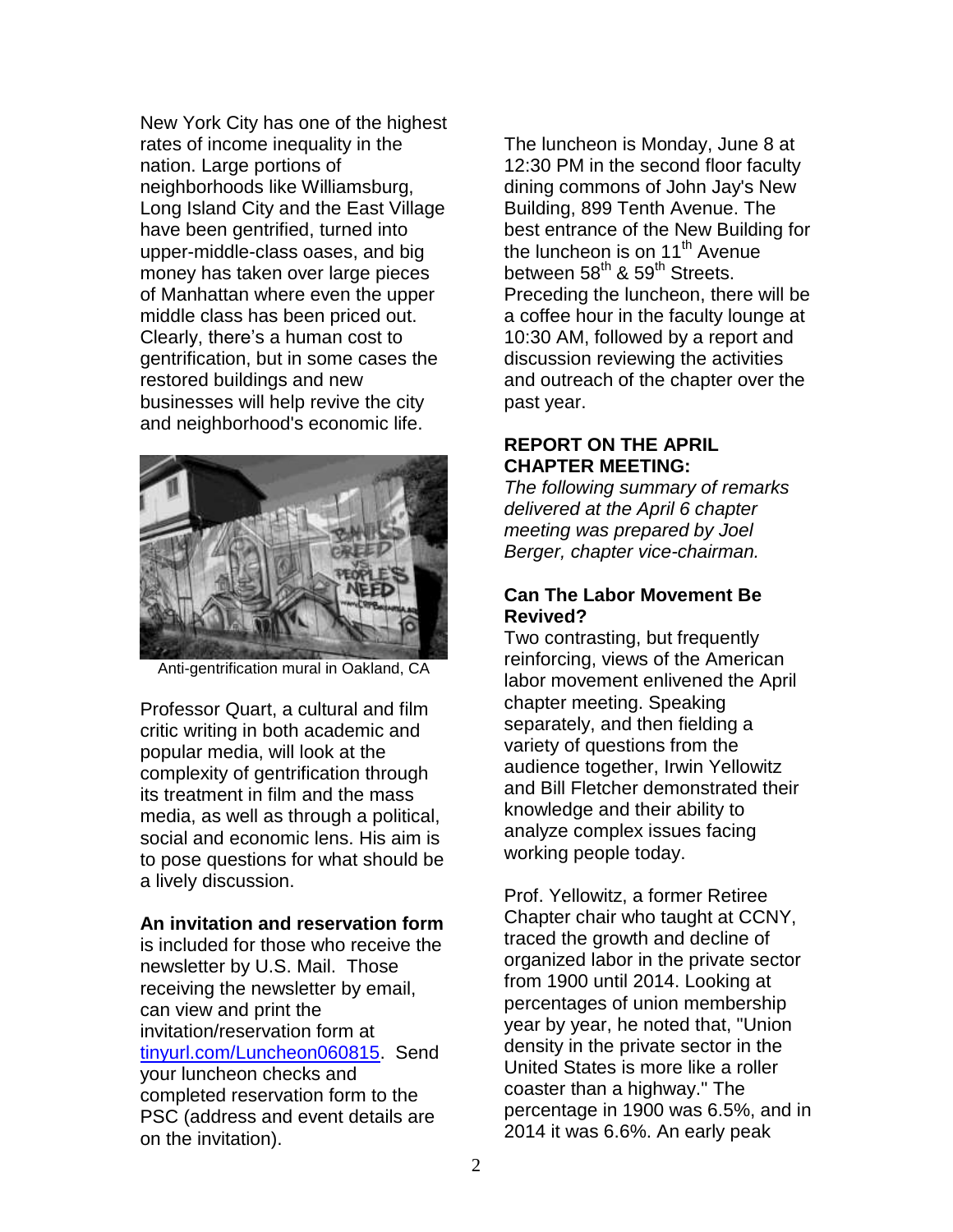New York City has one of the highest rates of income inequality in the nation. Large portions of neighborhoods like Williamsburg, Long Island City and the East Village have been gentrified, turned into upper-middle-class oases, and big money has taken over large pieces of Manhattan where even the upper middle class has been priced out. Clearly, there's a human cost to gentrification, but in some cases the restored buildings and new businesses will help revive the city and neighborhood's economic life.



Anti-gentrification mural in Oakland, CA

Professor Quart, a cultural and film critic writing in both academic and popular media, will look at the complexity of gentrification through its treatment in film and the mass media, as well as through a political, social and economic lens. His aim is to pose questions for what should be a lively discussion.

# **An invitation and reservation form**

is included for those who receive the newsletter by U.S. Mail. Those receiving the newsletter by email, can view and print the invitation/reservation form at [tinyurl.com/Luncheon060815.](http://tinyurl.com/Luncheon060815) Send your luncheon checks and completed reservation form to the PSC (address and event details are on the invitation).

The luncheon is Monday, June 8 at 12:30 PM in the second floor faculty dining commons of John Jay's New Building, 899 Tenth Avenue. The best entrance of the New Building for the luncheon is on 11<sup>th</sup> Avenue between 58<sup>th</sup> & 59<sup>th</sup> Streets. Preceding the luncheon, there will be a coffee hour in the faculty lounge at 10:30 AM, followed by a report and discussion reviewing the activities and outreach of the chapter over the past year.

### **REPORT ON THE APRIL CHAPTER MEETING:**

*The following summary of remarks delivered at the April 6 chapter meeting was prepared by Joel Berger, chapter vice-chairman.*

# **Can The Labor Movement Be Revived?**

Two contrasting, but frequently reinforcing, views of the American labor movement enlivened the April chapter meeting. Speaking separately, and then fielding a variety of questions from the audience together, Irwin Yellowitz and Bill Fletcher demonstrated their knowledge and their ability to analyze complex issues facing working people today.

Prof. Yellowitz, a former Retiree Chapter chair who taught at CCNY, traced the growth and decline of organized labor in the private sector from 1900 until 2014. Looking at percentages of union membership year by year, he noted that, "Union density in the private sector in the United States is more like a roller coaster than a highway." The percentage in 1900 was 6.5%, and in 2014 it was 6.6%. An early peak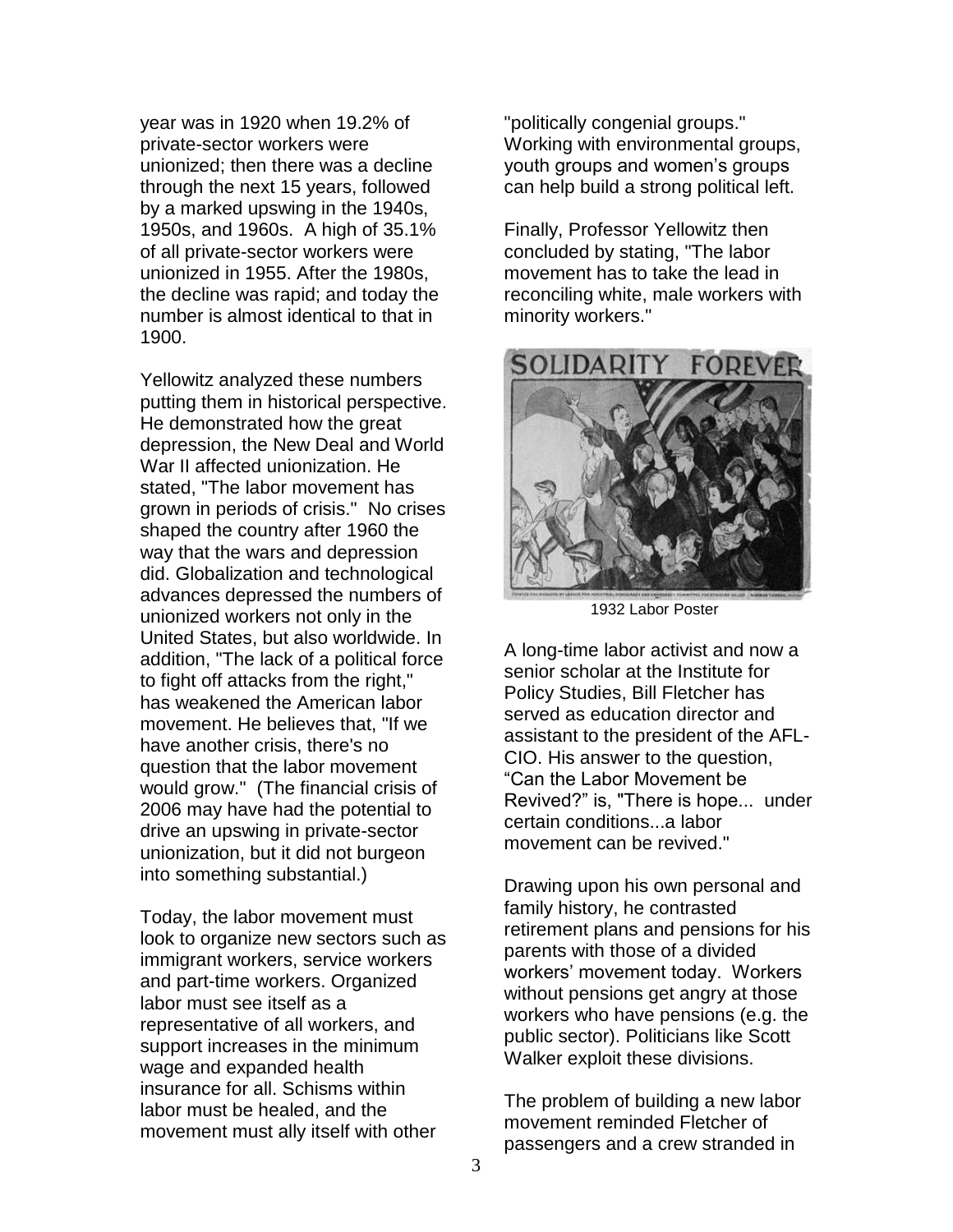year was in 1920 when 19.2% of private-sector workers were unionized; then there was a decline through the next 15 years, followed by a marked upswing in the 1940s, 1950s, and 1960s. A high of 35.1% of all private-sector workers were unionized in 1955. After the 1980s, the decline was rapid; and today the number is almost identical to that in 1900.

Yellowitz analyzed these numbers putting them in historical perspective. He demonstrated how the great depression, the New Deal and World War II affected unionization. He stated, "The labor movement has grown in periods of crisis." No crises shaped the country after 1960 the way that the wars and depression did. Globalization and technological advances depressed the numbers of unionized workers not only in the United States, but also worldwide. In addition, "The lack of a political force to fight off attacks from the right," has weakened the American labor movement. He believes that, "If we have another crisis, there's no question that the labor movement would grow." (The financial crisis of 2006 may have had the potential to drive an upswing in private-sector unionization, but it did not burgeon into something substantial.)

Today, the labor movement must look to organize new sectors such as immigrant workers, service workers and part-time workers. Organized labor must see itself as a representative of all workers, and support increases in the minimum wage and expanded health insurance for all. Schisms within labor must be healed, and the movement must ally itself with other

"politically congenial groups." Working with environmental groups, youth groups and women's groups can help build a strong political left.

Finally, Professor Yellowitz then concluded by stating, "The labor movement has to take the lead in reconciling white, male workers with minority workers."



1932 Labor Poster

A long-time labor activist and now a senior scholar at the Institute for Policy Studies, Bill Fletcher has served as education director and assistant to the president of the AFL-CIO. His answer to the question, "Can the Labor Movement be Revived?" is, "There is hope... under certain conditions...a labor movement can be revived."

Drawing upon his own personal and family history, he contrasted retirement plans and pensions for his parents with those of a divided workers' movement today. Workers without pensions get angry at those workers who have pensions (e.g. the public sector). Politicians like Scott Walker exploit these divisions.

The problem of building a new labor movement reminded Fletcher of passengers and a crew stranded in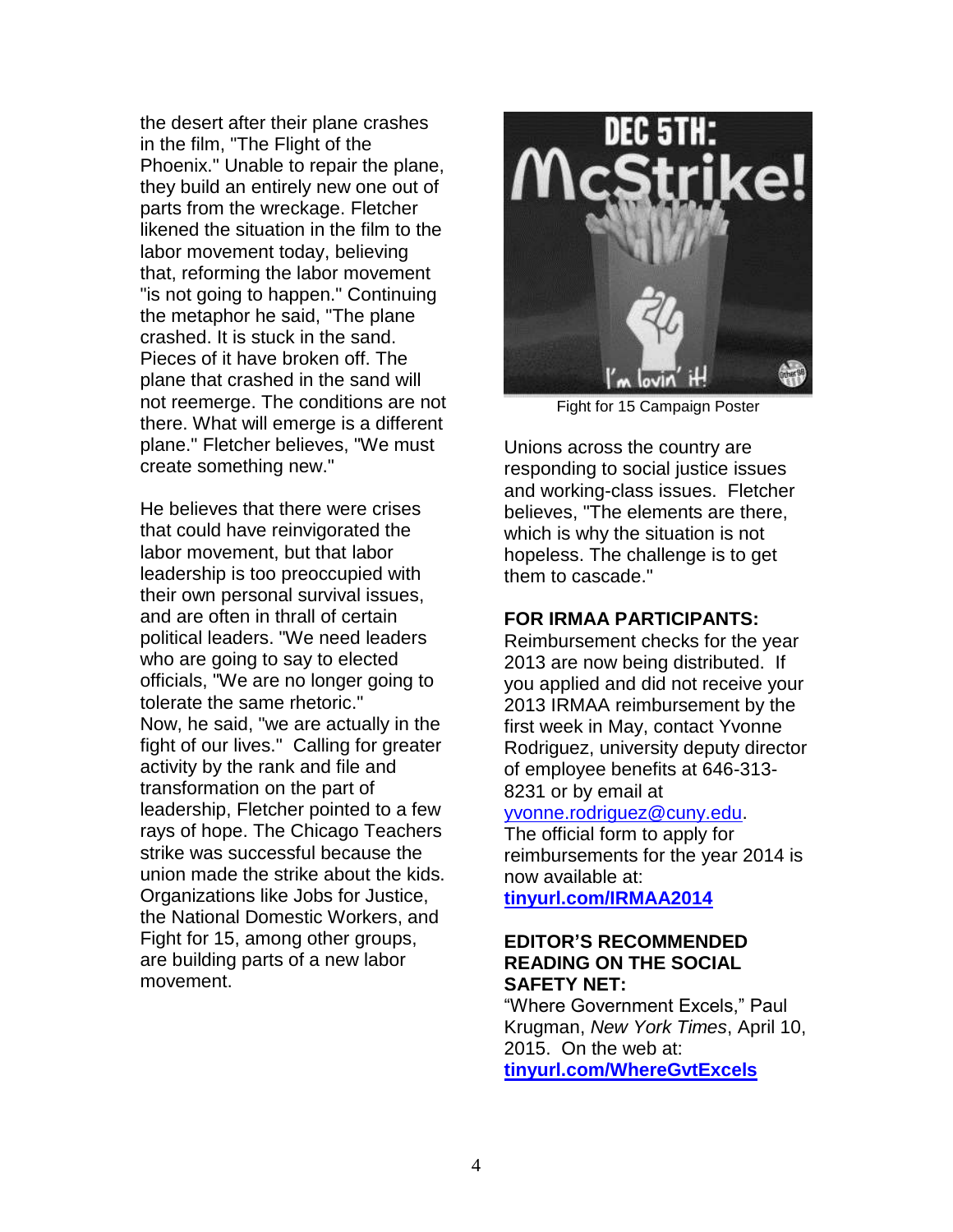the desert after their plane crashes in the film, "The Flight of the Phoenix." Unable to repair the plane, they build an entirely new one out of parts from the wreckage. Fletcher likened the situation in the film to the labor movement today, believing that, reforming the labor movement "is not going to happen." Continuing the metaphor he said, "The plane crashed. It is stuck in the sand. Pieces of it have broken off. The plane that crashed in the sand will not reemerge. The conditions are not there. What will emerge is a different plane." Fletcher believes, "We must create something new."

He believes that there were crises that could have reinvigorated the labor movement, but that labor leadership is too preoccupied with their own personal survival issues, and are often in thrall of certain political leaders. "We need leaders who are going to say to elected officials, "We are no longer going to tolerate the same rhetoric." Now, he said, "we are actually in the fight of our lives." Calling for greater activity by the rank and file and transformation on the part of leadership, Fletcher pointed to a few rays of hope. The Chicago Teachers strike was successful because the union made the strike about the kids. Organizations like Jobs for Justice, the National Domestic Workers, and Fight for 15, among other groups, are building parts of a new labor movement.



Fight for 15 Campaign Poster

Unions across the country are responding to social justice issues and working-class issues. Fletcher believes, "The elements are there, which is why the situation is not hopeless. The challenge is to get them to cascade."

# **FOR IRMAA PARTICIPANTS:**

Reimbursement checks for the year 2013 are now being distributed. If you applied and did not receive your 2013 IRMAA reimbursement by the first week in May, contact Yvonne Rodriguez, university deputy director of employee benefits at 646-313- 8231 or by email at

#### [yvonne.rodriguez@cuny.edu.](mailto:yvonne.rodriguez@cuny.edu)

The official form to apply for reimbursements for the year 2014 is now available at: **[tinyurl.com/IRMAA2014](http://tinyurl.com/IRMAA2014)**

#### **EDITOR'S RECOMMENDED READING ON THE SOCIAL SAFETY NET:**

"Where Government Excels," Paul Krugman, *New York Times*, April 10, 2015. On the web at: **[tinyurl.com/WhereGvtExcels](http://tinyurl.com/WhereGvtExcels)**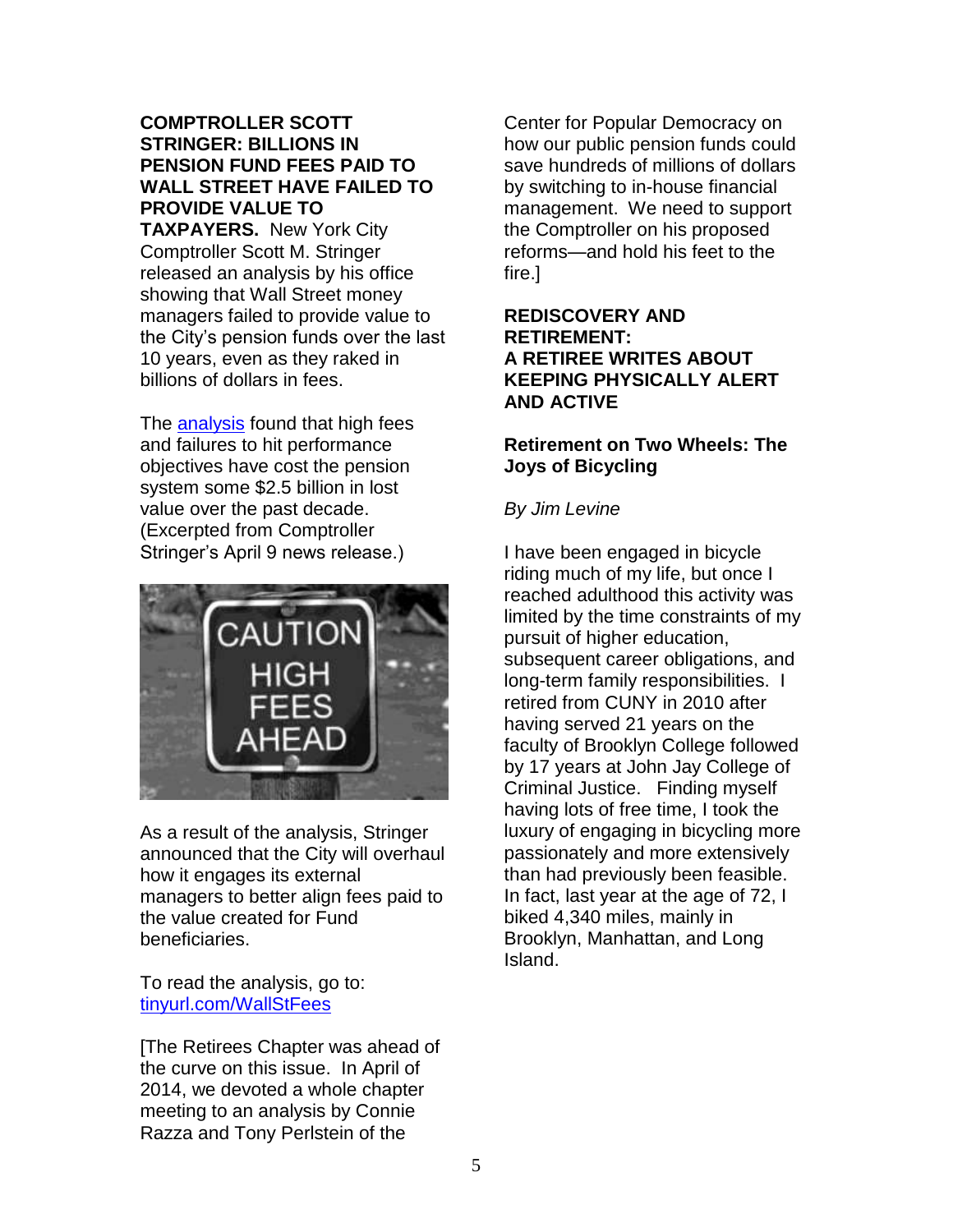# **COMPTROLLER SCOTT STRINGER: BILLIONS IN PENSION FUND FEES PAID TO WALL STREET HAVE FAILED TO PROVIDE VALUE TO**

**TAXPAYERS.** New York City Comptroller Scott M. Stringer released an analysis by his office showing that Wall Street money managers failed to provide value to the City's pension funds over the last 10 years, even as they raked in billions of dollars in fees.

The [analysis](https://comptroller.nyc.gov/wp-content/uploads/documents/BAM_Report_Impact_of_Management_Fees.pdf) found that high fees and failures to hit performance objectives have cost the pension system some \$2.5 billion in lost value over the past decade. (Excerpted from Comptroller Stringer's April 9 news release.)



As a result of the analysis, Stringer announced that the City will overhaul how it engages its external managers to better align fees paid to the value created for Fund beneficiaries.

To read the analysis, go to: [tinyurl.com/WallStFees](http://tinyurl.com/WallStFees)

[The Retirees Chapter was ahead of the curve on this issue. In April of 2014, we devoted a whole chapter meeting to an analysis by Connie Razza and Tony Perlstein of the

Center for Popular Democracy on how our public pension funds could save hundreds of millions of dollars by switching to in-house financial management. We need to support the Comptroller on his proposed reforms—and hold his feet to the fire.]

# **REDISCOVERY AND RETIREMENT: A RETIREE WRITES ABOUT KEEPING PHYSICALLY ALERT AND ACTIVE**

# **Retirement on Two Wheels: The Joys of Bicycling**

# *By Jim Levine*

I have been engaged in bicycle riding much of my life, but once I reached adulthood this activity was limited by the time constraints of my pursuit of higher education, subsequent career obligations, and long-term family responsibilities. I retired from CUNY in 2010 after having served 21 years on the faculty of Brooklyn College followed by 17 years at John Jay College of Criminal Justice. Finding myself having lots of free time, I took the luxury of engaging in bicycling more passionately and more extensively than had previously been feasible. In fact, last year at the age of 72, I biked 4,340 miles, mainly in Brooklyn, Manhattan, and Long Island.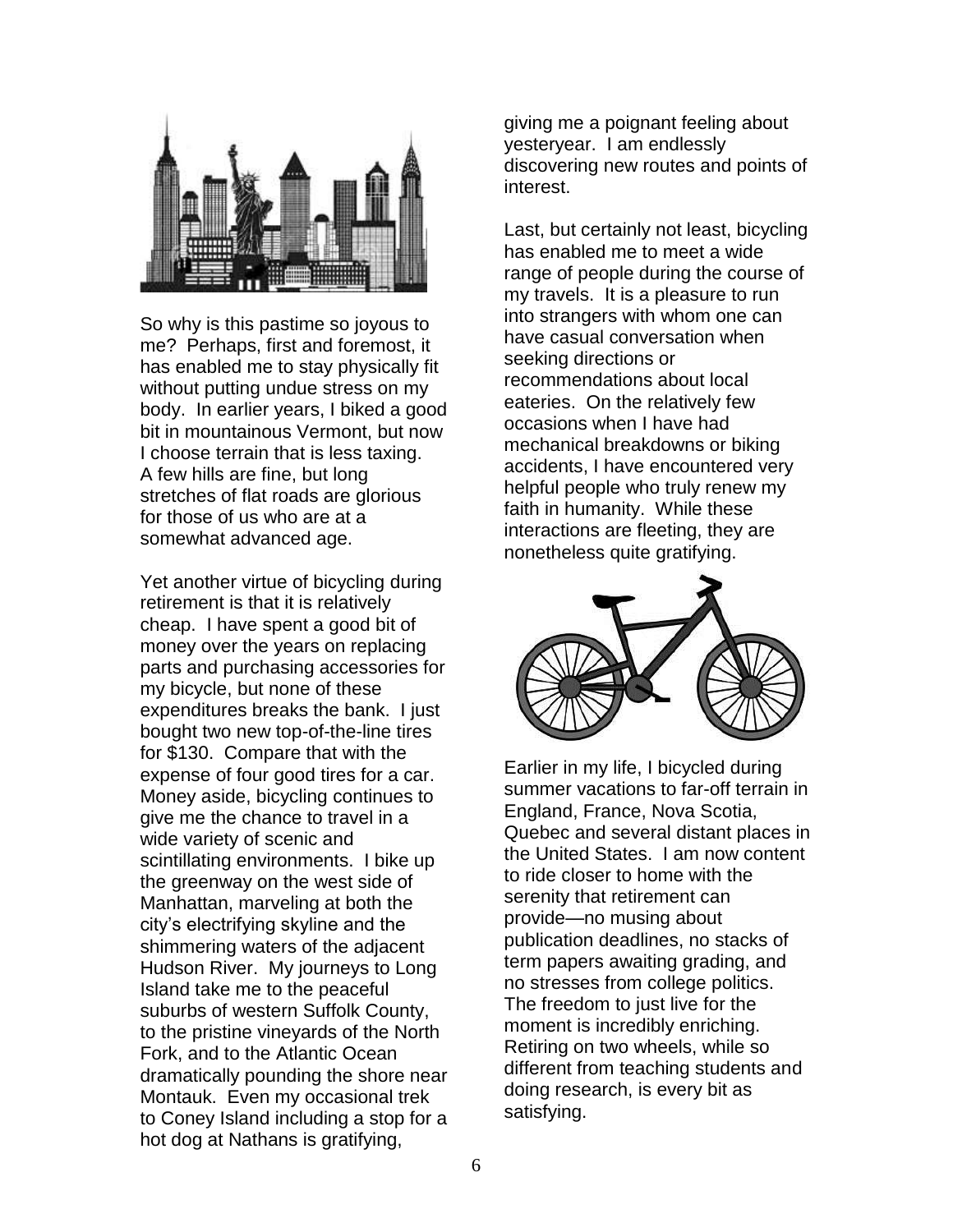

So why is this pastime so joyous to me? Perhaps, first and foremost, it has enabled me to stay physically fit without putting undue stress on my body. In earlier years, I biked a good bit in mountainous Vermont, but now I choose terrain that is less taxing. A few hills are fine, but long stretches of flat roads are glorious for those of us who are at a somewhat advanced age.

Yet another virtue of bicycling during retirement is that it is relatively cheap. I have spent a good bit of money over the years on replacing parts and purchasing accessories for my bicycle, but none of these expenditures breaks the bank. I just bought two new top-of-the-line tires for \$130. Compare that with the expense of four good tires for a car. Money aside, bicycling continues to give me the chance to travel in a wide variety of scenic and scintillating environments. I bike up the greenway on the west side of Manhattan, marveling at both the city's electrifying skyline and the shimmering waters of the adjacent Hudson River. My journeys to Long Island take me to the peaceful suburbs of western Suffolk County, to the pristine vineyards of the North Fork, and to the Atlantic Ocean dramatically pounding the shore near Montauk. Even my occasional trek to Coney Island including a stop for a hot dog at Nathans is gratifying,

giving me a poignant feeling about yesteryear. I am endlessly discovering new routes and points of interest.

Last, but certainly not least, bicycling has enabled me to meet a wide range of people during the course of my travels. It is a pleasure to run into strangers with whom one can have casual conversation when seeking directions or recommendations about local eateries. On the relatively few occasions when I have had mechanical breakdowns or biking accidents, I have encountered very helpful people who truly renew my faith in humanity. While these interactions are fleeting, they are nonetheless quite gratifying.



Earlier in my life, I bicycled during summer vacations to far-off terrain in England, France, Nova Scotia, Quebec and several distant places in the United States. I am now content to ride closer to home with the serenity that retirement can provide—no musing about publication deadlines, no stacks of term papers awaiting grading, and no stresses from college politics. The freedom to just live for the moment is incredibly enriching. Retiring on two wheels, while so different from teaching students and doing research, is every bit as satisfying.